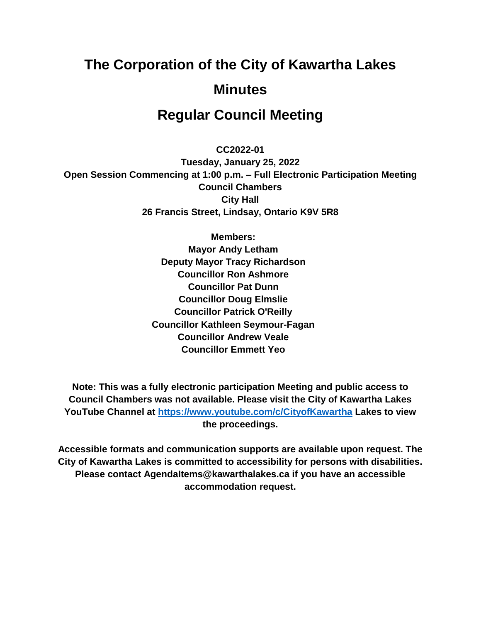# **The Corporation of the City of Kawartha Lakes Minutes**

# **Regular Council Meeting**

**CC2022-01**

**Tuesday, January 25, 2022 Open Session Commencing at 1:00 p.m. – Full Electronic Participation Meeting Council Chambers City Hall 26 Francis Street, Lindsay, Ontario K9V 5R8**

> **Members: Mayor Andy Letham Deputy Mayor Tracy Richardson Councillor Ron Ashmore Councillor Pat Dunn Councillor Doug Elmslie Councillor Patrick O'Reilly Councillor Kathleen Seymour-Fagan Councillor Andrew Veale Councillor Emmett Yeo**

**Note: This was a fully electronic participation Meeting and public access to Council Chambers was not available. Please visit the City of Kawartha Lakes YouTube Channel at<https://www.youtube.com/c/CityofKawartha> Lakes to view the proceedings.**

**Accessible formats and communication supports are available upon request. The City of Kawartha Lakes is committed to accessibility for persons with disabilities. Please contact AgendaItems@kawarthalakes.ca if you have an accessible accommodation request.**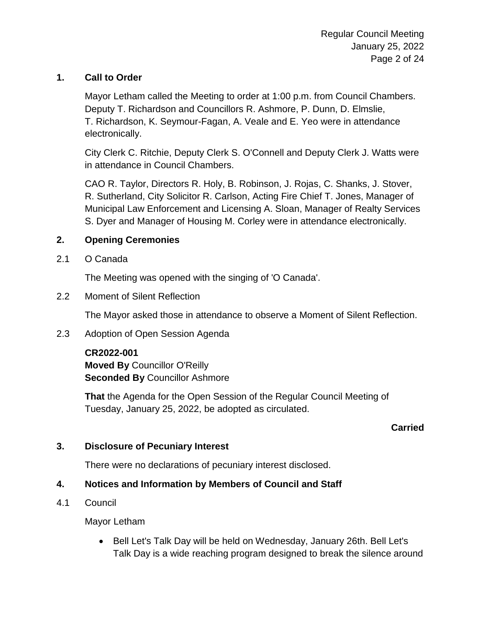## **1. Call to Order**

Mayor Letham called the Meeting to order at 1:00 p.m. from Council Chambers. Deputy T. Richardson and Councillors R. Ashmore, P. Dunn, D. Elmslie, T. Richardson, K. Seymour-Fagan, A. Veale and E. Yeo were in attendance electronically.

City Clerk C. Ritchie, Deputy Clerk S. O'Connell and Deputy Clerk J. Watts were in attendance in Council Chambers.

CAO R. Taylor, Directors R. Holy, B. Robinson, J. Rojas, C. Shanks, J. Stover, R. Sutherland, City Solicitor R. Carlson, Acting Fire Chief T. Jones, Manager of Municipal Law Enforcement and Licensing A. Sloan, Manager of Realty Services S. Dyer and Manager of Housing M. Corley were in attendance electronically.

## **2. Opening Ceremonies**

2.1 O Canada

The Meeting was opened with the singing of 'O Canada'.

2.2 Moment of Silent Reflection

The Mayor asked those in attendance to observe a Moment of Silent Reflection.

2.3 Adoption of Open Session Agenda

## **CR2022-001**

**Moved By** Councillor O'Reilly **Seconded By** Councillor Ashmore

**That** the Agenda for the Open Session of the Regular Council Meeting of Tuesday, January 25, 2022, be adopted as circulated.

## **Carried**

## **3. Disclosure of Pecuniary Interest**

There were no declarations of pecuniary interest disclosed.

## **4. Notices and Information by Members of Council and Staff**

4.1 Council

Mayor Letham

• Bell Let's Talk Day will be held on Wednesday, January 26th. Bell Let's Talk Day is a wide reaching program designed to break the silence around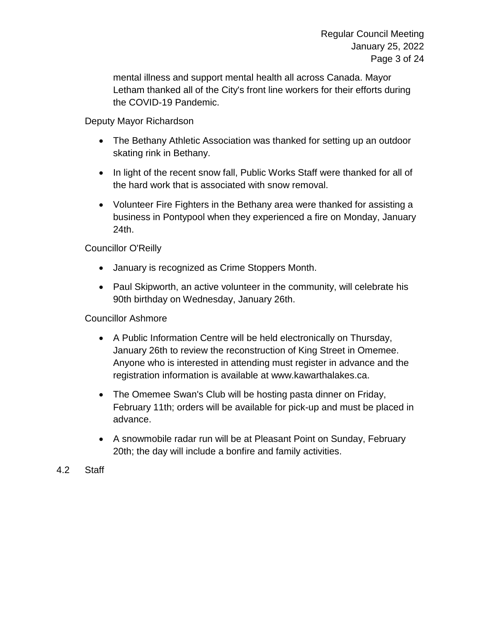mental illness and support mental health all across Canada. Mayor Letham thanked all of the City's front line workers for their efforts during the COVID-19 Pandemic.

Deputy Mayor Richardson

- The Bethany Athletic Association was thanked for setting up an outdoor skating rink in Bethany.
- In light of the recent snow fall, Public Works Staff were thanked for all of the hard work that is associated with snow removal.
- Volunteer Fire Fighters in the Bethany area were thanked for assisting a business in Pontypool when they experienced a fire on Monday, January 24th.

Councillor O'Reilly

- January is recognized as Crime Stoppers Month.
- Paul Skipworth, an active volunteer in the community, will celebrate his 90th birthday on Wednesday, January 26th.

Councillor Ashmore

- A Public Information Centre will be held electronically on Thursday, January 26th to review the reconstruction of King Street in Omemee. Anyone who is interested in attending must register in advance and the registration information is available at www.kawarthalakes.ca.
- The Omemee Swan's Club will be hosting pasta dinner on Friday, February 11th; orders will be available for pick-up and must be placed in advance.
- A snowmobile radar run will be at Pleasant Point on Sunday, February 20th; the day will include a bonfire and family activities.
- 4.2 Staff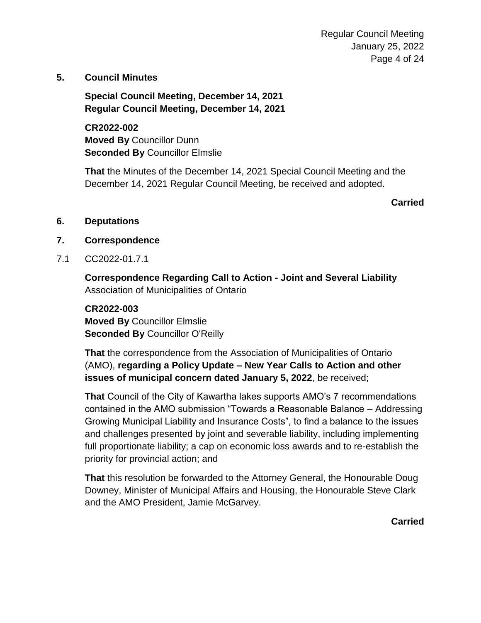**5. Council Minutes**

**Special Council Meeting, December 14, 2021 Regular Council Meeting, December 14, 2021**

**CR2022-002 Moved By** Councillor Dunn **Seconded By** Councillor Elmslie

**That** the Minutes of the December 14, 2021 Special Council Meeting and the December 14, 2021 Regular Council Meeting, be received and adopted.

**Carried**

- **6. Deputations**
- **7. Correspondence**
- 7.1 CC2022-01.7.1

**Correspondence Regarding Call to Action - Joint and Several Liability** Association of Municipalities of Ontario

**CR2022-003 Moved By** Councillor Elmslie **Seconded By** Councillor O'Reilly

**That** the correspondence from the Association of Municipalities of Ontario (AMO), **regarding a Policy Update – New Year Calls to Action and other issues of municipal concern dated January 5, 2022**, be received;

**That** Council of the City of Kawartha lakes supports AMO's 7 recommendations contained in the AMO submission "Towards a Reasonable Balance – Addressing Growing Municipal Liability and Insurance Costs", to find a balance to the issues and challenges presented by joint and severable liability, including implementing full proportionate liability; a cap on economic loss awards and to re-establish the priority for provincial action; and

**That** this resolution be forwarded to the Attorney General, the Honourable Doug Downey, Minister of Municipal Affairs and Housing, the Honourable Steve Clark and the AMO President, Jamie McGarvey.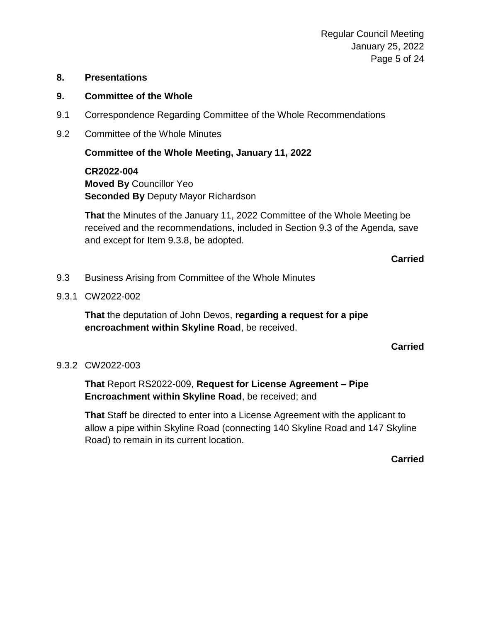## **8. Presentations**

## **9. Committee of the Whole**

- 9.1 Correspondence Regarding Committee of the Whole Recommendations
- 9.2 Committee of the Whole Minutes

**Committee of the Whole Meeting, January 11, 2022**

**CR2022-004 Moved By** Councillor Yeo **Seconded By** Deputy Mayor Richardson

**That** the Minutes of the January 11, 2022 Committee of the Whole Meeting be received and the recommendations, included in Section 9.3 of the Agenda, save and except for Item 9.3.8, be adopted.

**Carried**

- 9.3 Business Arising from Committee of the Whole Minutes
- 9.3.1 CW2022-002

**That** the deputation of John Devos, **regarding a request for a pipe encroachment within Skyline Road**, be received.

**Carried**

## 9.3.2 CW2022-003

**That** Report RS2022-009, **Request for License Agreement – Pipe Encroachment within Skyline Road**, be received; and

**That** Staff be directed to enter into a License Agreement with the applicant to allow a pipe within Skyline Road (connecting 140 Skyline Road and 147 Skyline Road) to remain in its current location.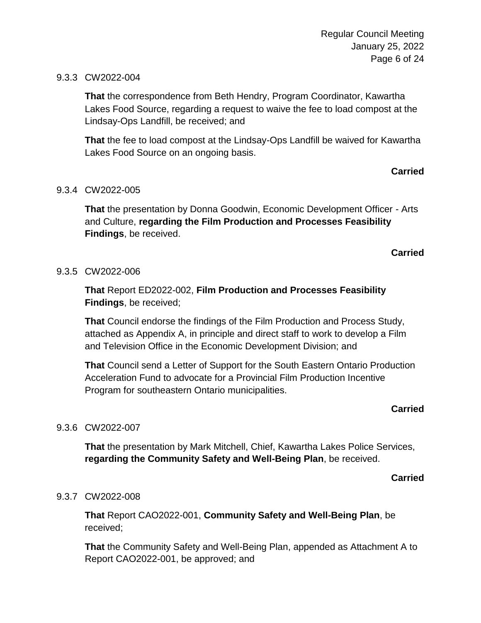## 9.3.3 CW2022-004

**That** the correspondence from Beth Hendry, Program Coordinator, Kawartha Lakes Food Source, regarding a request to waive the fee to load compost at the Lindsay-Ops Landfill, be received; and

**That** the fee to load compost at the Lindsay-Ops Landfill be waived for Kawartha Lakes Food Source on an ongoing basis.

## **Carried**

## 9.3.4 CW2022-005

**That** the presentation by Donna Goodwin, Economic Development Officer - Arts and Culture, **regarding the Film Production and Processes Feasibility Findings**, be received.

#### **Carried**

#### 9.3.5 CW2022-006

**That** Report ED2022-002, **Film Production and Processes Feasibility Findings**, be received;

**That** Council endorse the findings of the Film Production and Process Study, attached as Appendix A, in principle and direct staff to work to develop a Film and Television Office in the Economic Development Division; and

**That** Council send a Letter of Support for the South Eastern Ontario Production Acceleration Fund to advocate for a Provincial Film Production Incentive Program for southeastern Ontario municipalities.

## **Carried**

## 9.3.6 CW2022-007

**That** the presentation by Mark Mitchell, Chief, Kawartha Lakes Police Services, **regarding the Community Safety and Well-Being Plan**, be received.

#### **Carried**

## 9.3.7 CW2022-008

**That** Report CAO2022-001, **Community Safety and Well-Being Plan**, be received;

**That** the Community Safety and Well-Being Plan, appended as Attachment A to Report CAO2022-001, be approved; and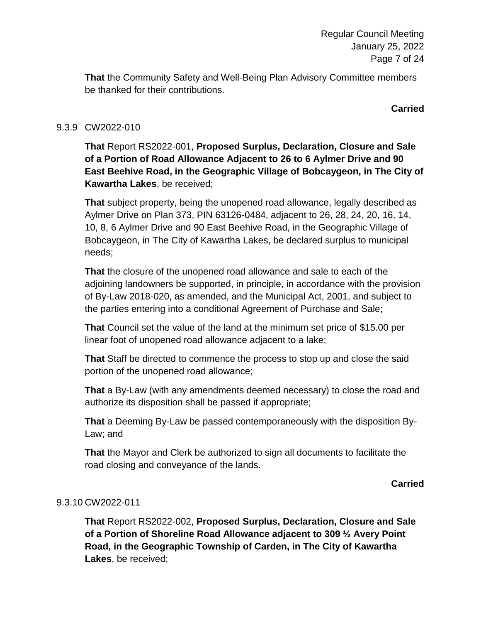**That** the Community Safety and Well-Being Plan Advisory Committee members be thanked for their contributions.

**Carried**

## 9.3.9 CW2022-010

**That** Report RS2022-001, **Proposed Surplus, Declaration, Closure and Sale of a Portion of Road Allowance Adjacent to 26 to 6 Aylmer Drive and 90 East Beehive Road, in the Geographic Village of Bobcaygeon, in The City of Kawartha Lakes**, be received;

**That** subject property, being the unopened road allowance, legally described as Aylmer Drive on Plan 373, PIN 63126-0484, adjacent to 26, 28, 24, 20, 16, 14, 10, 8, 6 Aylmer Drive and 90 East Beehive Road, in the Geographic Village of Bobcaygeon, in The City of Kawartha Lakes, be declared surplus to municipal needs;

**That** the closure of the unopened road allowance and sale to each of the adjoining landowners be supported, in principle, in accordance with the provision of By-Law 2018-020, as amended, and the Municipal Act, 2001, and subject to the parties entering into a conditional Agreement of Purchase and Sale;

**That** Council set the value of the land at the minimum set price of \$15.00 per linear foot of unopened road allowance adjacent to a lake;

**That** Staff be directed to commence the process to stop up and close the said portion of the unopened road allowance;

**That** a By-Law (with any amendments deemed necessary) to close the road and authorize its disposition shall be passed if appropriate;

**That** a Deeming By-Law be passed contemporaneously with the disposition By-Law; and

**That** the Mayor and Clerk be authorized to sign all documents to facilitate the road closing and conveyance of the lands.

**Carried**

## 9.3.10 CW2022-011

**That** Report RS2022-002, **Proposed Surplus, Declaration, Closure and Sale of a Portion of Shoreline Road Allowance adjacent to 309 ½ Avery Point Road, in the Geographic Township of Carden, in The City of Kawartha Lakes**, be received;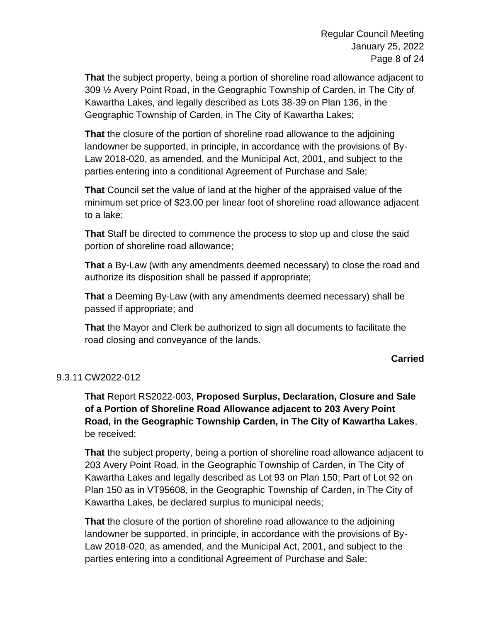**That** the subject property, being a portion of shoreline road allowance adjacent to 309 ½ Avery Point Road, in the Geographic Township of Carden, in The City of Kawartha Lakes, and legally described as Lots 38-39 on Plan 136, in the Geographic Township of Carden, in The City of Kawartha Lakes;

**That** the closure of the portion of shoreline road allowance to the adjoining landowner be supported, in principle, in accordance with the provisions of By-Law 2018-020, as amended, and the Municipal Act, 2001, and subject to the parties entering into a conditional Agreement of Purchase and Sale;

**That** Council set the value of land at the higher of the appraised value of the minimum set price of \$23.00 per linear foot of shoreline road allowance adjacent to a lake;

**That** Staff be directed to commence the process to stop up and close the said portion of shoreline road allowance;

**That** a By-Law (with any amendments deemed necessary) to close the road and authorize its disposition shall be passed if appropriate;

**That** a Deeming By-Law (with any amendments deemed necessary) shall be passed if appropriate; and

**That** the Mayor and Clerk be authorized to sign all documents to facilitate the road closing and conveyance of the lands.

## **Carried**

## 9.3.11 CW2022-012

**That** Report RS2022-003, **Proposed Surplus, Declaration, Closure and Sale of a Portion of Shoreline Road Allowance adjacent to 203 Avery Point Road, in the Geographic Township Carden, in The City of Kawartha Lakes**, be received;

**That** the subject property, being a portion of shoreline road allowance adjacent to 203 Avery Point Road, in the Geographic Township of Carden, in The City of Kawartha Lakes and legally described as Lot 93 on Plan 150; Part of Lot 92 on Plan 150 as in VT95608, in the Geographic Township of Carden, in The City of Kawartha Lakes, be declared surplus to municipal needs;

**That** the closure of the portion of shoreline road allowance to the adjoining landowner be supported, in principle, in accordance with the provisions of By-Law 2018-020, as amended, and the Municipal Act, 2001, and subject to the parties entering into a conditional Agreement of Purchase and Sale;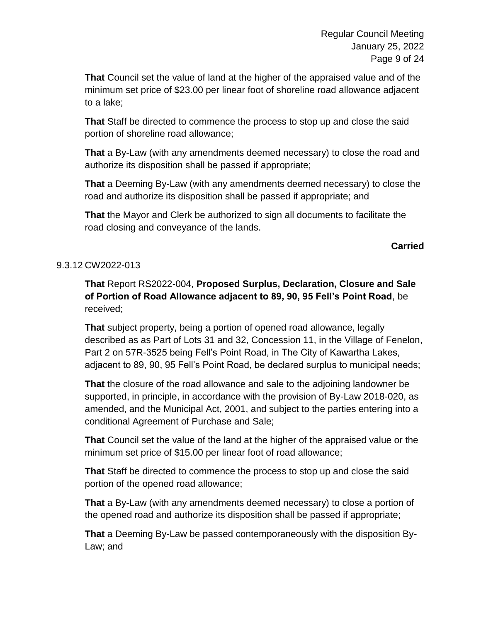**That** Council set the value of land at the higher of the appraised value and of the minimum set price of \$23.00 per linear foot of shoreline road allowance adjacent to a lake;

**That** Staff be directed to commence the process to stop up and close the said portion of shoreline road allowance;

**That** a By-Law (with any amendments deemed necessary) to close the road and authorize its disposition shall be passed if appropriate;

**That** a Deeming By-Law (with any amendments deemed necessary) to close the road and authorize its disposition shall be passed if appropriate; and

**That** the Mayor and Clerk be authorized to sign all documents to facilitate the road closing and conveyance of the lands.

## **Carried**

## 9.3.12 CW2022-013

**That** Report RS2022-004, **Proposed Surplus, Declaration, Closure and Sale of Portion of Road Allowance adjacent to 89, 90, 95 Fell's Point Road**, be received;

**That** subject property, being a portion of opened road allowance, legally described as as Part of Lots 31 and 32, Concession 11, in the Village of Fenelon, Part 2 on 57R-3525 being Fell's Point Road, in The City of Kawartha Lakes, adjacent to 89, 90, 95 Fell's Point Road, be declared surplus to municipal needs;

**That** the closure of the road allowance and sale to the adjoining landowner be supported, in principle, in accordance with the provision of By-Law 2018-020, as amended, and the Municipal Act, 2001, and subject to the parties entering into a conditional Agreement of Purchase and Sale;

**That** Council set the value of the land at the higher of the appraised value or the minimum set price of \$15.00 per linear foot of road allowance;

**That** Staff be directed to commence the process to stop up and close the said portion of the opened road allowance;

**That** a By-Law (with any amendments deemed necessary) to close a portion of the opened road and authorize its disposition shall be passed if appropriate;

**That** a Deeming By-Law be passed contemporaneously with the disposition By-Law; and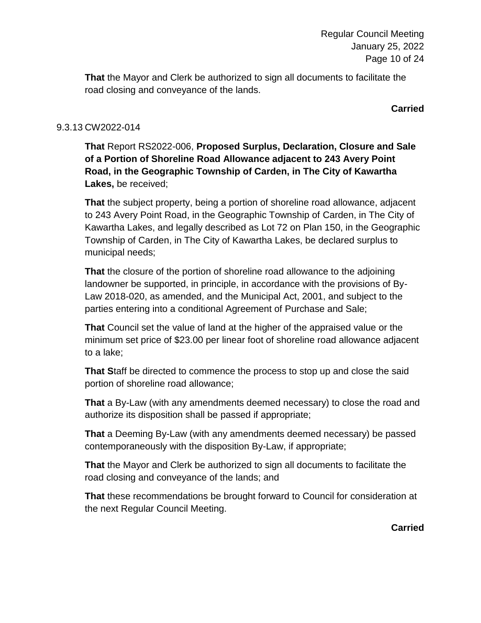**That** the Mayor and Clerk be authorized to sign all documents to facilitate the road closing and conveyance of the lands.

**Carried**

## 9.3.13 CW2022-014

**That** Report RS2022-006, **Proposed Surplus, Declaration, Closure and Sale of a Portion of Shoreline Road Allowance adjacent to 243 Avery Point Road, in the Geographic Township of Carden, in The City of Kawartha Lakes,** be received;

**That** the subject property, being a portion of shoreline road allowance, adjacent to 243 Avery Point Road, in the Geographic Township of Carden, in The City of Kawartha Lakes, and legally described as Lot 72 on Plan 150, in the Geographic Township of Carden, in The City of Kawartha Lakes, be declared surplus to municipal needs;

**That** the closure of the portion of shoreline road allowance to the adjoining landowner be supported, in principle, in accordance with the provisions of By-Law 2018-020, as amended, and the Municipal Act, 2001, and subject to the parties entering into a conditional Agreement of Purchase and Sale;

**That** Council set the value of land at the higher of the appraised value or the minimum set price of \$23.00 per linear foot of shoreline road allowance adjacent to a lake;

**That S**taff be directed to commence the process to stop up and close the said portion of shoreline road allowance;

**That** a By-Law (with any amendments deemed necessary) to close the road and authorize its disposition shall be passed if appropriate;

**That** a Deeming By-Law (with any amendments deemed necessary) be passed contemporaneously with the disposition By-Law, if appropriate;

**That** the Mayor and Clerk be authorized to sign all documents to facilitate the road closing and conveyance of the lands; and

**That** these recommendations be brought forward to Council for consideration at the next Regular Council Meeting.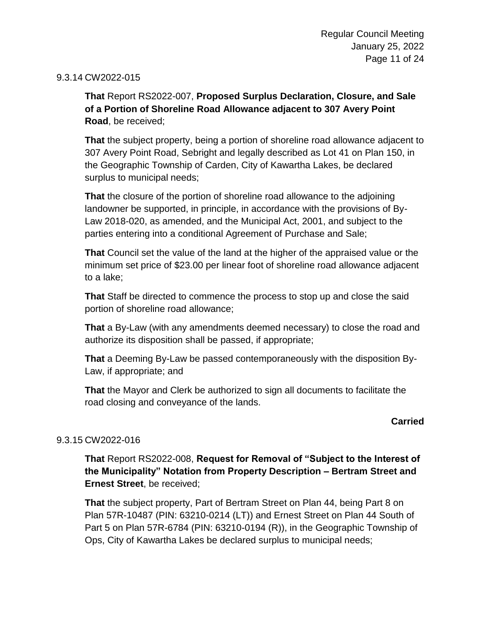## 9.3.14 CW2022-015

**That** Report RS2022-007, **Proposed Surplus Declaration, Closure, and Sale of a Portion of Shoreline Road Allowance adjacent to 307 Avery Point Road**, be received;

**That** the subject property, being a portion of shoreline road allowance adjacent to 307 Avery Point Road, Sebright and legally described as Lot 41 on Plan 150, in the Geographic Township of Carden, City of Kawartha Lakes, be declared surplus to municipal needs;

**That** the closure of the portion of shoreline road allowance to the adjoining landowner be supported, in principle, in accordance with the provisions of By-Law 2018-020, as amended, and the Municipal Act, 2001, and subject to the parties entering into a conditional Agreement of Purchase and Sale;

**That** Council set the value of the land at the higher of the appraised value or the minimum set price of \$23.00 per linear foot of shoreline road allowance adjacent to a lake;

**That** Staff be directed to commence the process to stop up and close the said portion of shoreline road allowance;

**That** a By-Law (with any amendments deemed necessary) to close the road and authorize its disposition shall be passed, if appropriate;

**That** a Deeming By-Law be passed contemporaneously with the disposition By-Law, if appropriate; and

**That** the Mayor and Clerk be authorized to sign all documents to facilitate the road closing and conveyance of the lands.

## **Carried**

## 9.3.15 CW2022-016

**That** Report RS2022-008, **Request for Removal of "Subject to the Interest of the Municipality" Notation from Property Description – Bertram Street and Ernest Street**, be received;

**That** the subject property, Part of Bertram Street on Plan 44, being Part 8 on Plan 57R-10487 (PIN: 63210-0214 (LT)) and Ernest Street on Plan 44 South of Part 5 on Plan 57R-6784 (PIN: 63210-0194 (R)), in the Geographic Township of Ops, City of Kawartha Lakes be declared surplus to municipal needs;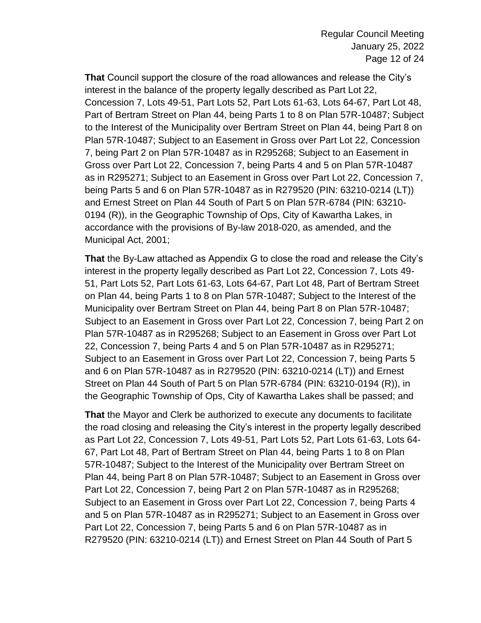**That** Council support the closure of the road allowances and release the City's interest in the balance of the property legally described as Part Lot 22, Concession 7, Lots 49-51, Part Lots 52, Part Lots 61-63, Lots 64-67, Part Lot 48, Part of Bertram Street on Plan 44, being Parts 1 to 8 on Plan 57R-10487; Subject to the Interest of the Municipality over Bertram Street on Plan 44, being Part 8 on Plan 57R-10487; Subject to an Easement in Gross over Part Lot 22, Concession 7, being Part 2 on Plan 57R-10487 as in R295268; Subject to an Easement in Gross over Part Lot 22, Concession 7, being Parts 4 and 5 on Plan 57R-10487 as in R295271; Subject to an Easement in Gross over Part Lot 22, Concession 7, being Parts 5 and 6 on Plan 57R-10487 as in R279520 (PIN: 63210-0214 (LT)) and Ernest Street on Plan 44 South of Part 5 on Plan 57R-6784 (PIN: 63210- 0194 (R)), in the Geographic Township of Ops, City of Kawartha Lakes, in accordance with the provisions of By-law 2018-020, as amended, and the Municipal Act, 2001;

**That** the By-Law attached as Appendix G to close the road and release the City's interest in the property legally described as Part Lot 22, Concession 7, Lots 49- 51, Part Lots 52, Part Lots 61-63, Lots 64-67, Part Lot 48, Part of Bertram Street on Plan 44, being Parts 1 to 8 on Plan 57R-10487; Subject to the Interest of the Municipality over Bertram Street on Plan 44, being Part 8 on Plan 57R-10487; Subject to an Easement in Gross over Part Lot 22, Concession 7, being Part 2 on Plan 57R-10487 as in R295268; Subject to an Easement in Gross over Part Lot 22, Concession 7, being Parts 4 and 5 on Plan 57R-10487 as in R295271; Subject to an Easement in Gross over Part Lot 22, Concession 7, being Parts 5 and 6 on Plan 57R-10487 as in R279520 (PIN: 63210-0214 (LT)) and Ernest Street on Plan 44 South of Part 5 on Plan 57R-6784 (PIN: 63210-0194 (R)), in the Geographic Township of Ops, City of Kawartha Lakes shall be passed; and

**That** the Mayor and Clerk be authorized to execute any documents to facilitate the road closing and releasing the City's interest in the property legally described as Part Lot 22, Concession 7, Lots 49-51, Part Lots 52, Part Lots 61-63, Lots 64- 67, Part Lot 48, Part of Bertram Street on Plan 44, being Parts 1 to 8 on Plan 57R-10487; Subject to the Interest of the Municipality over Bertram Street on Plan 44, being Part 8 on Plan 57R-10487; Subject to an Easement in Gross over Part Lot 22, Concession 7, being Part 2 on Plan 57R-10487 as in R295268; Subject to an Easement in Gross over Part Lot 22, Concession 7, being Parts 4 and 5 on Plan 57R-10487 as in R295271; Subject to an Easement in Gross over Part Lot 22, Concession 7, being Parts 5 and 6 on Plan 57R-10487 as in R279520 (PIN: 63210-0214 (LT)) and Ernest Street on Plan 44 South of Part 5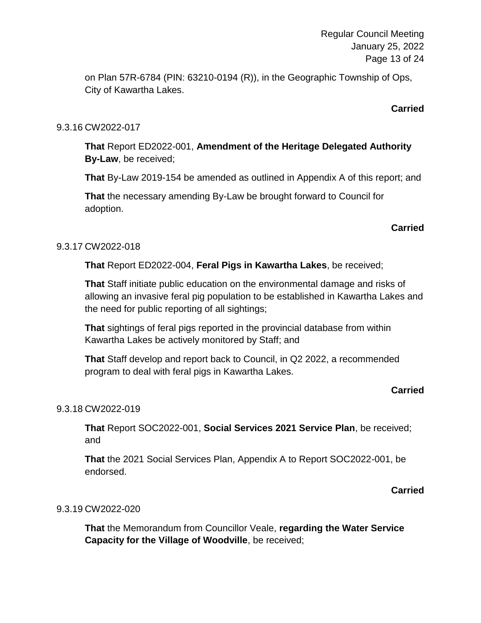Regular Council Meeting January 25, 2022 Page 13 of 24

on Plan 57R-6784 (PIN: 63210-0194 (R)), in the Geographic Township of Ops, City of Kawartha Lakes.

## **Carried**

## 9.3.16 CW2022-017

**That** Report ED2022-001, **Amendment of the Heritage Delegated Authority By-Law**, be received;

**That** By-Law 2019-154 be amended as outlined in Appendix A of this report; and

**That** the necessary amending By-Law be brought forward to Council for adoption.

## **Carried**

## 9.3.17 CW2022-018

**That** Report ED2022-004, **Feral Pigs in Kawartha Lakes**, be received;

**That** Staff initiate public education on the environmental damage and risks of allowing an invasive feral pig population to be established in Kawartha Lakes and the need for public reporting of all sightings;

**That** sightings of feral pigs reported in the provincial database from within Kawartha Lakes be actively monitored by Staff; and

**That** Staff develop and report back to Council, in Q2 2022, a recommended program to deal with feral pigs in Kawartha Lakes.

## **Carried**

## 9.3.18 CW2022-019

**That** Report SOC2022-001, **Social Services 2021 Service Plan**, be received; and

**That** the 2021 Social Services Plan, Appendix A to Report SOC2022-001, be endorsed.

## **Carried**

## 9.3.19 CW2022-020

**That** the Memorandum from Councillor Veale, **regarding the Water Service Capacity for the Village of Woodville**, be received;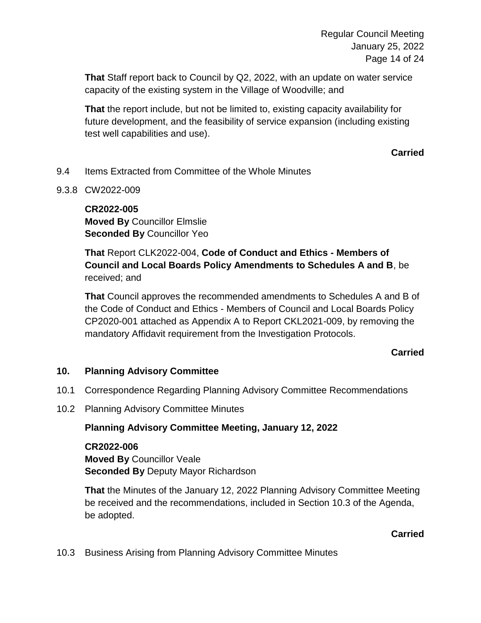**That** Staff report back to Council by Q2, 2022, with an update on water service capacity of the existing system in the Village of Woodville; and

**That** the report include, but not be limited to, existing capacity availability for future development, and the feasibility of service expansion (including existing test well capabilities and use).

**Carried**

- 9.4 Items Extracted from Committee of the Whole Minutes
- 9.3.8 CW2022-009

## **CR2022-005 Moved By** Councillor Elmslie **Seconded By** Councillor Yeo

**That** Report CLK2022-004, **Code of Conduct and Ethics - Members of Council and Local Boards Policy Amendments to Schedules A and B**, be received; and

**That** Council approves the recommended amendments to Schedules A and B of the Code of Conduct and Ethics - Members of Council and Local Boards Policy CP2020-001 attached as Appendix A to Report CKL2021-009, by removing the mandatory Affidavit requirement from the Investigation Protocols.

## **Carried**

## **10. Planning Advisory Committee**

- 10.1 Correspondence Regarding Planning Advisory Committee Recommendations
- 10.2 Planning Advisory Committee Minutes

## **Planning Advisory Committee Meeting, January 12, 2022**

**CR2022-006 Moved By** Councillor Veale **Seconded By** Deputy Mayor Richardson

**That** the Minutes of the January 12, 2022 Planning Advisory Committee Meeting be received and the recommendations, included in Section 10.3 of the Agenda, be adopted.

## **Carried**

10.3 Business Arising from Planning Advisory Committee Minutes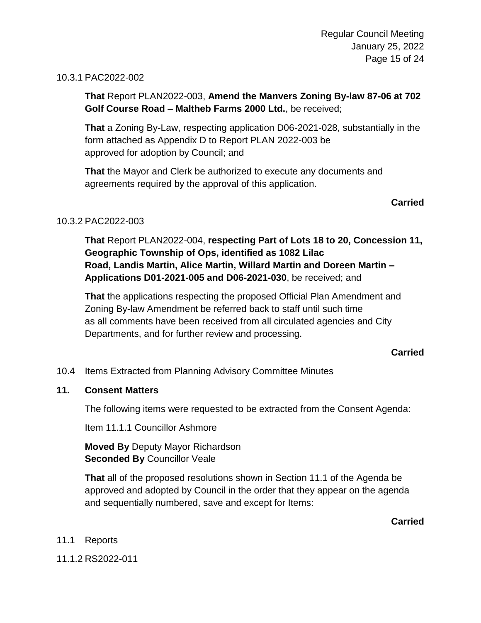## 10.3.1 PAC2022-002

**That** Report PLAN2022-003, **Amend the Manvers Zoning By-law 87-06 at 702 Golf Course Road – Maltheb Farms 2000 Ltd.**, be received;

**That** a Zoning By-Law, respecting application D06-2021-028, substantially in the form attached as Appendix D to Report PLAN 2022-003 be approved for adoption by Council; and

**That** the Mayor and Clerk be authorized to execute any documents and agreements required by the approval of this application.

## **Carried**

## 10.3.2 PAC2022-003

**That** Report PLAN2022-004, **respecting Part of Lots 18 to 20, Concession 11, Geographic Township of Ops, identified as 1082 Lilac Road, Landis Martin, Alice Martin, Willard Martin and Doreen Martin – Applications D01-2021-005 and D06-2021-030**, be received; and

**That** the applications respecting the proposed Official Plan Amendment and Zoning By-law Amendment be referred back to staff until such time as all comments have been received from all circulated agencies and City Departments, and for further review and processing.

## **Carried**

10.4 Items Extracted from Planning Advisory Committee Minutes

## **11. Consent Matters**

The following items were requested to be extracted from the Consent Agenda:

Item 11.1.1 Councillor Ashmore

**Moved By** Deputy Mayor Richardson **Seconded By Councillor Veale** 

**That** all of the proposed resolutions shown in Section 11.1 of the Agenda be approved and adopted by Council in the order that they appear on the agenda and sequentially numbered, save and except for Items:

**Carried**

## 11.1 Reports

11.1.2 RS2022-011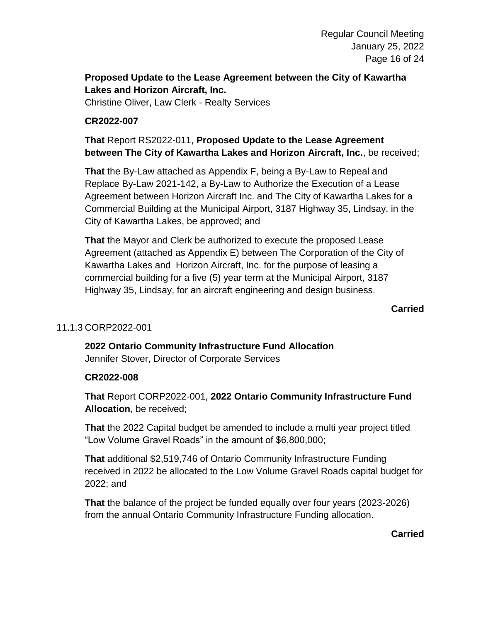## **Proposed Update to the Lease Agreement between the City of Kawartha Lakes and Horizon Aircraft, Inc.**

Christine Oliver, Law Clerk - Realty Services

## **CR2022-007**

**That** Report RS2022-011, **Proposed Update to the Lease Agreement between The City of Kawartha Lakes and Horizon Aircraft, Inc.**, be received;

**That** the By-Law attached as Appendix F, being a By-Law to Repeal and Replace By-Law 2021-142, a By-Law to Authorize the Execution of a Lease Agreement between Horizon Aircraft Inc. and The City of Kawartha Lakes for a Commercial Building at the Municipal Airport, 3187 Highway 35, Lindsay, in the City of Kawartha Lakes, be approved; and

**That** the Mayor and Clerk be authorized to execute the proposed Lease Agreement (attached as Appendix E) between The Corporation of the City of Kawartha Lakes and Horizon Aircraft, Inc. for the purpose of leasing a commercial building for a five (5) year term at the Municipal Airport, 3187 Highway 35, Lindsay, for an aircraft engineering and design business.

**Carried**

## 11.1.3 CORP2022-001

**2022 Ontario Community Infrastructure Fund Allocation** Jennifer Stover, Director of Corporate Services

## **CR2022-008**

**That** Report CORP2022-001, **2022 Ontario Community Infrastructure Fund Allocation**, be received;

**That** the 2022 Capital budget be amended to include a multi year project titled "Low Volume Gravel Roads" in the amount of \$6,800,000;

**That** additional \$2,519,746 of Ontario Community Infrastructure Funding received in 2022 be allocated to the Low Volume Gravel Roads capital budget for 2022; and

**That** the balance of the project be funded equally over four years (2023-2026) from the annual Ontario Community Infrastructure Funding allocation.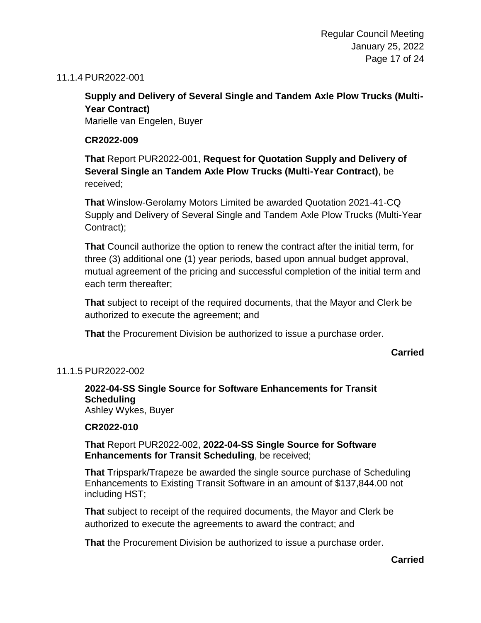## 11.1.4 PUR2022-001

## **Supply and Delivery of Several Single and Tandem Axle Plow Trucks (Multi-Year Contract)**

Marielle van Engelen, Buyer

## **CR2022-009**

**That** Report PUR2022-001, **Request for Quotation Supply and Delivery of Several Single an Tandem Axle Plow Trucks (Multi-Year Contract)**, be received;

**That** Winslow-Gerolamy Motors Limited be awarded Quotation 2021-41-CQ Supply and Delivery of Several Single and Tandem Axle Plow Trucks (Multi-Year Contract);

**That** Council authorize the option to renew the contract after the initial term, for three (3) additional one (1) year periods, based upon annual budget approval, mutual agreement of the pricing and successful completion of the initial term and each term thereafter;

**That** subject to receipt of the required documents, that the Mayor and Clerk be authorized to execute the agreement; and

**That** the Procurement Division be authorized to issue a purchase order.

## **Carried**

## 11.1.5 PUR2022-002

**2022-04-SS Single Source for Software Enhancements for Transit Scheduling** Ashley Wykes, Buyer

## **CR2022-010**

**That** Report PUR2022-002, **2022-04-SS Single Source for Software Enhancements for Transit Scheduling**, be received;

**That** Tripspark/Trapeze be awarded the single source purchase of Scheduling Enhancements to Existing Transit Software in an amount of \$137,844.00 not including HST;

**That** subject to receipt of the required documents, the Mayor and Clerk be authorized to execute the agreements to award the contract; and

**That** the Procurement Division be authorized to issue a purchase order.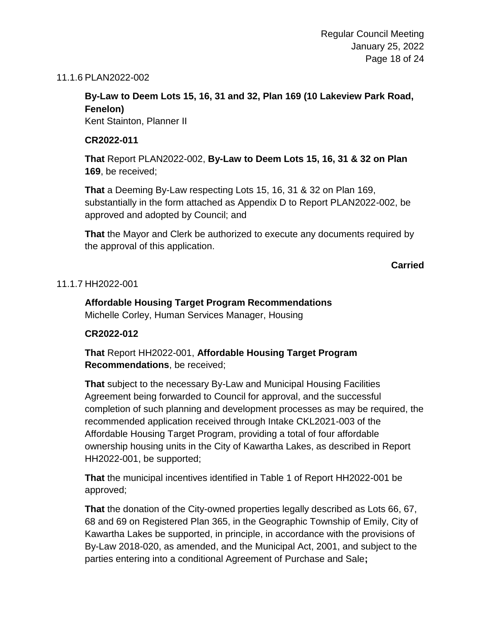## 11.1.6 PLAN2022-002

## **By-Law to Deem Lots 15, 16, 31 and 32, Plan 169 (10 Lakeview Park Road, Fenelon)**

Kent Stainton, Planner II

## **CR2022-011**

**That** Report PLAN2022-002, **By-Law to Deem Lots 15, 16, 31 & 32 on Plan 169**, be received;

**That** a Deeming By-Law respecting Lots 15, 16, 31 & 32 on Plan 169, substantially in the form attached as Appendix D to Report PLAN2022-002, be approved and adopted by Council; and

**That** the Mayor and Clerk be authorized to execute any documents required by the approval of this application.

**Carried**

## 11.1.7 HH2022-001

## **Affordable Housing Target Program Recommendations** Michelle Corley, Human Services Manager, Housing

## **CR2022-012**

**That** Report HH2022-001, **Affordable Housing Target Program Recommendations**, be received;

**That** subject to the necessary By-Law and Municipal Housing Facilities Agreement being forwarded to Council for approval, and the successful completion of such planning and development processes as may be required, the recommended application received through Intake CKL2021-003 of the Affordable Housing Target Program, providing a total of four affordable ownership housing units in the City of Kawartha Lakes, as described in Report HH2022-001, be supported;

**That** the municipal incentives identified in Table 1 of Report HH2022-001 be approved;

**That** the donation of the City-owned properties legally described as Lots 66, 67, 68 and 69 on Registered Plan 365, in the Geographic Township of Emily, City of Kawartha Lakes be supported, in principle, in accordance with the provisions of By-Law 2018-020, as amended, and the Municipal Act, 2001, and subject to the parties entering into a conditional Agreement of Purchase and Sale**;**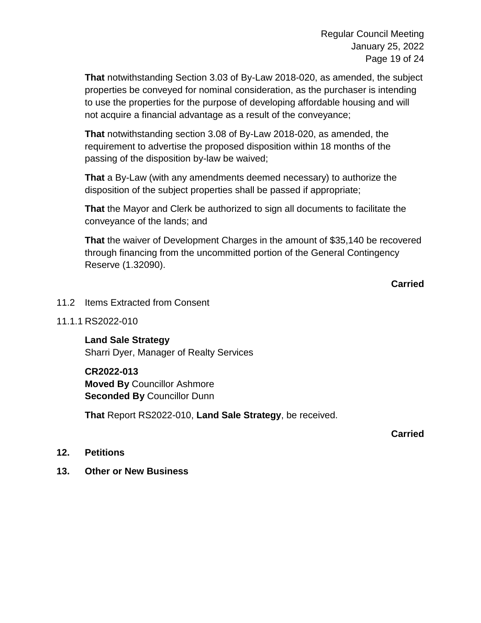**That** notwithstanding Section 3.03 of By-Law 2018-020, as amended, the subject properties be conveyed for nominal consideration, as the purchaser is intending to use the properties for the purpose of developing affordable housing and will not acquire a financial advantage as a result of the conveyance;

**That** notwithstanding section 3.08 of By-Law 2018-020, as amended, the requirement to advertise the proposed disposition within 18 months of the passing of the disposition by-law be waived;

**That** a By-Law (with any amendments deemed necessary) to authorize the disposition of the subject properties shall be passed if appropriate;

**That** the Mayor and Clerk be authorized to sign all documents to facilitate the conveyance of the lands; and

**That** the waiver of Development Charges in the amount of \$35,140 be recovered through financing from the uncommitted portion of the General Contingency Reserve (1.32090).

## **Carried**

- 11.2 Items Extracted from Consent
- 11.1.1 RS2022-010

**Land Sale Strategy** Sharri Dyer, Manager of Realty Services

#### **CR2022-013**

**Moved By** Councillor Ashmore **Seconded By** Councillor Dunn

**That** Report RS2022-010, **Land Sale Strategy**, be received.

## **Carried**

#### **12. Petitions**

**13. Other or New Business**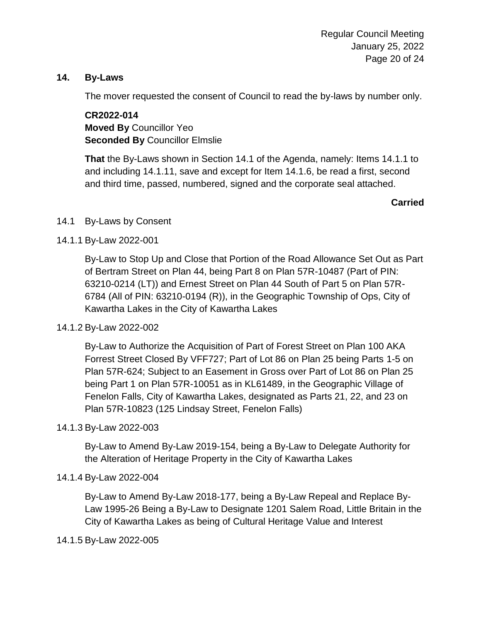## **14. By-Laws**

The mover requested the consent of Council to read the by-laws by number only.

**CR2022-014 Moved By** Councillor Yeo **Seconded By** Councillor Elmslie

**That** the By-Laws shown in Section 14.1 of the Agenda, namely: Items 14.1.1 to and including 14.1.11, save and except for Item 14.1.6, be read a first, second and third time, passed, numbered, signed and the corporate seal attached.

## **Carried**

## 14.1 By-Laws by Consent

## 14.1.1 By-Law 2022-001

By-Law to Stop Up and Close that Portion of the Road Allowance Set Out as Part of Bertram Street on Plan 44, being Part 8 on Plan 57R-10487 (Part of PIN: 63210-0214 (LT)) and Ernest Street on Plan 44 South of Part 5 on Plan 57R-6784 (All of PIN: 63210-0194 (R)), in the Geographic Township of Ops, City of Kawartha Lakes in the City of Kawartha Lakes

## 14.1.2 By-Law 2022-002

By-Law to Authorize the Acquisition of Part of Forest Street on Plan 100 AKA Forrest Street Closed By VFF727; Part of Lot 86 on Plan 25 being Parts 1-5 on Plan 57R-624; Subject to an Easement in Gross over Part of Lot 86 on Plan 25 being Part 1 on Plan 57R-10051 as in KL61489, in the Geographic Village of Fenelon Falls, City of Kawartha Lakes, designated as Parts 21, 22, and 23 on Plan 57R-10823 (125 Lindsay Street, Fenelon Falls)

## 14.1.3 By-Law 2022-003

By-Law to Amend By-Law 2019-154, being a By-Law to Delegate Authority for the Alteration of Heritage Property in the City of Kawartha Lakes

## 14.1.4 By-Law 2022-004

By-Law to Amend By-Law 2018-177, being a By-Law Repeal and Replace By-Law 1995-26 Being a By-Law to Designate 1201 Salem Road, Little Britain in the City of Kawartha Lakes as being of Cultural Heritage Value and Interest

## 14.1.5 By-Law 2022-005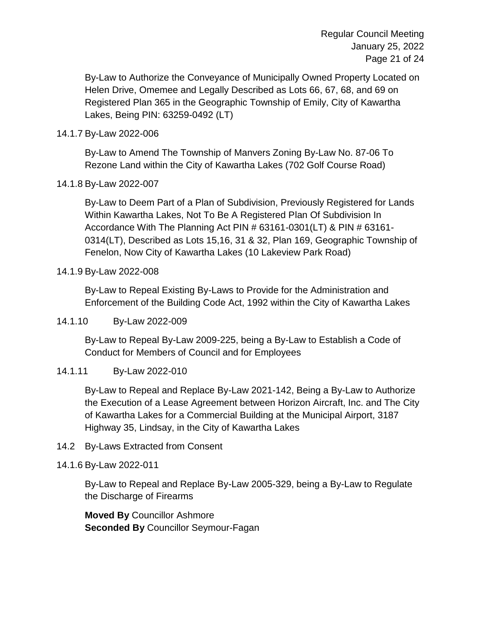Regular Council Meeting January 25, 2022 Page 21 of 24

By-Law to Authorize the Conveyance of Municipally Owned Property Located on Helen Drive, Omemee and Legally Described as Lots 66, 67, 68, and 69 on Registered Plan 365 in the Geographic Township of Emily, City of Kawartha Lakes, Being PIN: 63259-0492 (LT)

## 14.1.7 By-Law 2022-006

By-Law to Amend The Township of Manvers Zoning By-Law No. 87-06 To Rezone Land within the City of Kawartha Lakes (702 Golf Course Road)

## 14.1.8 By-Law 2022-007

By-Law to Deem Part of a Plan of Subdivision, Previously Registered for Lands Within Kawartha Lakes, Not To Be A Registered Plan Of Subdivision In Accordance With The Planning Act PIN # 63161-0301(LT) & PIN # 63161- 0314(LT), Described as Lots 15,16, 31 & 32, Plan 169, Geographic Township of Fenelon, Now City of Kawartha Lakes (10 Lakeview Park Road)

## 14.1.9 By-Law 2022-008

By-Law to Repeal Existing By-Laws to Provide for the Administration and Enforcement of the Building Code Act, 1992 within the City of Kawartha Lakes

## 14.1.10 By-Law 2022-009

By-Law to Repeal By-Law 2009-225, being a By-Law to Establish a Code of Conduct for Members of Council and for Employees

## 14.1.11 By-Law 2022-010

By-Law to Repeal and Replace By-Law 2021-142, Being a By-Law to Authorize the Execution of a Lease Agreement between Horizon Aircraft, Inc. and The City of Kawartha Lakes for a Commercial Building at the Municipal Airport, 3187 Highway 35, Lindsay, in the City of Kawartha Lakes

## 14.2 By-Laws Extracted from Consent

## 14.1.6 By-Law 2022-011

By-Law to Repeal and Replace By-Law 2005-329, being a By-Law to Regulate the Discharge of Firearms

**Moved By** Councillor Ashmore **Seconded By** Councillor Seymour-Fagan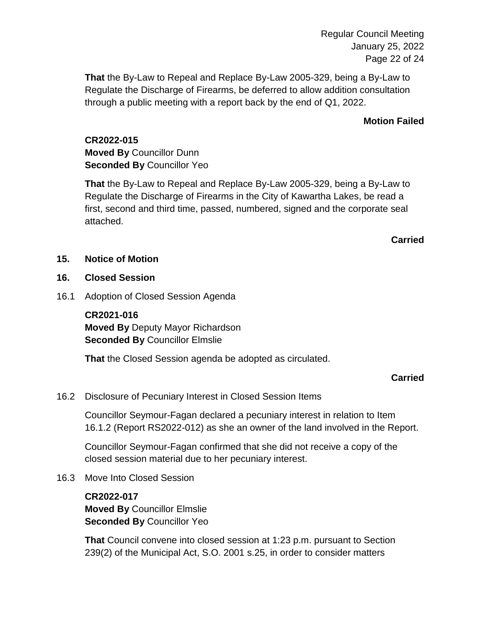Regular Council Meeting January 25, 2022 Page 22 of 24

**That** the By-Law to Repeal and Replace By-Law 2005-329, being a By-Law to Regulate the Discharge of Firearms, be deferred to allow addition consultation through a public meeting with a report back by the end of Q1, 2022.

## **Motion Failed**

**CR2022-015 Moved By** Councillor Dunn **Seconded By** Councillor Yeo

**That** the By-Law to Repeal and Replace By-Law 2005-329, being a By-Law to Regulate the Discharge of Firearms in the City of Kawartha Lakes, be read a first, second and third time, passed, numbered, signed and the corporate seal attached.

## **Carried**

## **15. Notice of Motion**

## **16. Closed Session**

16.1 Adoption of Closed Session Agenda

**CR2021-016 Moved By** Deputy Mayor Richardson **Seconded By** Councillor Elmslie

**That** the Closed Session agenda be adopted as circulated.

## **Carried**

16.2 Disclosure of Pecuniary Interest in Closed Session Items

Councillor Seymour-Fagan declared a pecuniary interest in relation to Item 16.1.2 (Report RS2022-012) as she an owner of the land involved in the Report.

Councillor Seymour-Fagan confirmed that she did not receive a copy of the closed session material due to her pecuniary interest.

16.3 Move Into Closed Session

**CR2022-017 Moved By** Councillor Elmslie **Seconded By** Councillor Yeo

**That** Council convene into closed session at 1:23 p.m. pursuant to Section 239(2) of the Municipal Act, S.O. 2001 s.25, in order to consider matters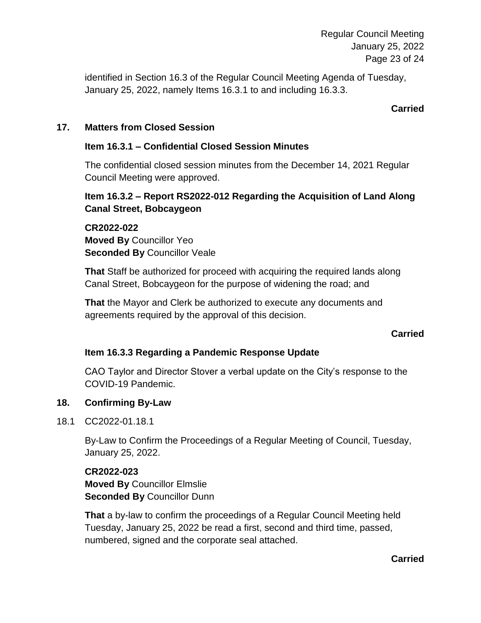Regular Council Meeting January 25, 2022 Page 23 of 24

identified in Section 16.3 of the Regular Council Meeting Agenda of Tuesday, January 25, 2022, namely Items 16.3.1 to and including 16.3.3.

## **Carried**

## **17. Matters from Closed Session**

## **Item 16.3.1 – Confidential Closed Session Minutes**

The confidential closed session minutes from the December 14, 2021 Regular Council Meeting were approved.

## **Item 16.3.2 – Report RS2022-012 Regarding the Acquisition of Land Along Canal Street, Bobcaygeon**

**CR2022-022 Moved By** Councillor Yeo **Seconded By Councillor Veale** 

**That** Staff be authorized for proceed with acquiring the required lands along Canal Street, Bobcaygeon for the purpose of widening the road; and

**That** the Mayor and Clerk be authorized to execute any documents and agreements required by the approval of this decision.

## **Carried**

## **Item 16.3.3 Regarding a Pandemic Response Update**

CAO Taylor and Director Stover a verbal update on the City's response to the COVID-19 Pandemic.

## **18. Confirming By-Law**

18.1 CC2022-01.18.1

By-Law to Confirm the Proceedings of a Regular Meeting of Council, Tuesday, January 25, 2022.

## **CR2022-023 Moved By** Councillor Elmslie **Seconded By** Councillor Dunn

**That** a by-law to confirm the proceedings of a Regular Council Meeting held Tuesday, January 25, 2022 be read a first, second and third time, passed, numbered, signed and the corporate seal attached.